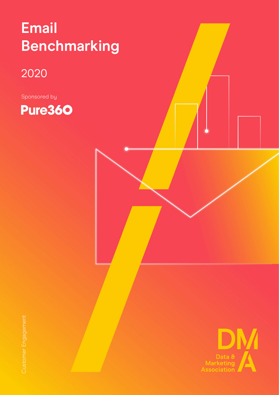### **Email Benchmarking**

### 2020

Sponsored by

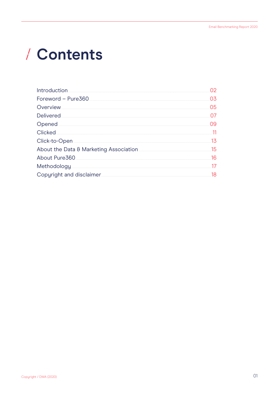# / Contents

| Overview<br>Delivered<br>Opened<br>Click-to-Open<br>About the Data & Marketing Association <b>Marketing</b> Association <b>Marketing</b> Association<br>Methodology<br>Copyright and disclaimer. | Introduction |     |
|--------------------------------------------------------------------------------------------------------------------------------------------------------------------------------------------------|--------------|-----|
|                                                                                                                                                                                                  |              | 03  |
|                                                                                                                                                                                                  |              | 05  |
|                                                                                                                                                                                                  |              |     |
|                                                                                                                                                                                                  |              | Ω9  |
|                                                                                                                                                                                                  |              |     |
|                                                                                                                                                                                                  |              | 13  |
|                                                                                                                                                                                                  |              | .15 |
|                                                                                                                                                                                                  |              | 16  |
|                                                                                                                                                                                                  |              |     |
|                                                                                                                                                                                                  |              | 18  |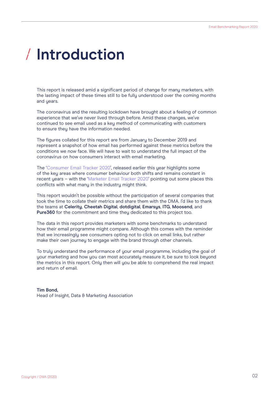## <span id="page-2-0"></span>**Introduction**

This report is released amid a significant period of change for many marketers, with the lasting impact of these times still to be fully understood over the coming months and years.

The coronavirus and the resulting lockdown have brought about a feeling of common experience that we've never lived through before. Amid these changes, we've continued to see email used as a key method of communicating with customers to ensure they have the information needed.

The figures collated for this report are from January to December 2019 and represent a snapshot of how email has performed against these metrics before the conditions we now face. We will have to wait to understand the full impact of the coronavirus on how consumers interact with email marketing.

The ['Consumer Email Tracker 2020](https://dma.org.uk/research/consumer-email-tracker-2020)', released earlier this year highlights some of the key areas where consumer behaviour both shifts and remains constant in recent years – with the '[Marketer Email Tracker 2020'](https://dma.org.uk/research/marketer-email-tracker-2020) pointing out some places this conflicts with what many in the industry might think.

This report wouldn't be possible without the participation of several companies that took the time to collate their metrics and share them with the DMA. I'd like to thank the teams at **Celerity**, **Cheetah Digital**, **dotdigital**, **Emarsys**, **ITG**, **Moosend**, and **Pure360** for the commitment and time they dedicated to this project too.

The data in this report provides marketers with some benchmarks to understand how their email programme might compare. Although this comes with the reminder that we increasingly see consumers opting not to click on email links, but rather make their own journey to engage with the brand through other channels.

To truly understand the performance of your email programme, including the goal of your marketing and how you can most accurately measure it, be sure to look beyond the metrics in this report. Only then will you be able to comprehend the real impact and return of email.

#### **Tim Bond,** Head of Insight, Data & Marketing Association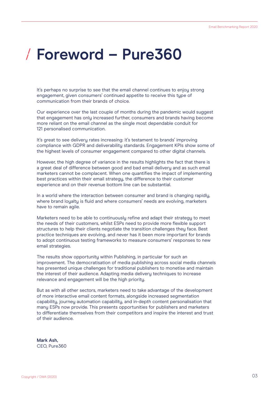### <span id="page-3-0"></span>**Foreword – Pure360**

It's perhaps no surprise to see that the email channel continues to enjoy strong engagement, given consumers' continued appetite to receive this type of communication from their brands of choice.

Our experience over the last couple of months during the pandemic would suggest that engagement has only increased further, consumers and brands having become more reliant on the email channel as the single most dependable conduit for 121 personalised communication.

It's great to see delivery rates increasing: it's testament to brands' improving compliance with GDPR and deliverability standards. Engagement KPIs show some of the highest levels of consumer engagement compared to other digital channels.

However, the high degree of variance in the results highlights the fact that there is a great deal of difference between good and bad email delivery and as such email marketers cannot be complacent. When one quantifies the impact of implementing best practices within their email strategy, the difference to their customer experience and on their revenue bottom line can be substantial.

In a world where the interaction between consumer and brand is changing rapidly, where brand loyalty is fluid and where consumers' needs are evolving, marketers have to remain agile.

Marketers need to be able to continuously refine and adapt their strategy to meet the needs of their customers, whilst ESPs need to provide more flexible support structures to help their clients negotiate the transition challenges they face. Best practice techniques are evolving, and never has it been more important for brands to adopt continuous testing frameworks to measure consumers' responses to new email strategies.

The results show opportunity within Publishing, in particular for such an improvement. The democratisation of media publishing across social media channels has presented unique challenges for traditional publishers to monetise and maintain the interest of their audience. Adapting media delivery techniques to increase relevance and engagement will be the high priority.

But as with all other sectors, marketers need to take advantage of the development of more interactive email content formats, alongside increased segmentation capability, journey automation capability, and in-depth content personalisation that many ESPs now provide. This presents opportunities for publishers and marketers to differentiate themselves from their competitors and inspire the interest and trust of their audience.

**Mark Ash,** CEO, Pure360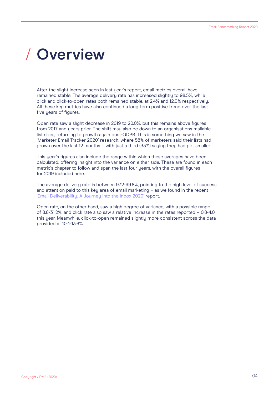### <span id="page-4-0"></span>**Overview**

After the slight increase seen in last year's report, email metrics overall have remained stable. The average delivery rate has increased slightly to 98.5%, while click and click-to-open rates both remained stable, at 2.4% and 12.0% respectively. All these key metrics have also continued a long-term positive trend over the last five years of figures.

Open rate saw a slight decrease in 2019 to 20.0%, but this remains above figures from 2017 and years prior. The shift may also be down to an organisations mailable list sizes, returning to growth again post-GDPR. This is something we saw in the 'Marketer Email Tracker 2020' research, where 58% of marketers said their lists had grown over the last 12 months – with just a third (33%) saying they had got smaller.

This year's figures also include the range within which these averages have been calculated, offering insight into the variance on either side. These are found in each metric's chapter to follow and span the last four years, with the overall figures for 2019 included here.

The average delivery rate is between 97.2-99.8%, pointing to the high level of success and attention paid to this key area of email marketing – as we found in the recent ['Email Deliverability: A Journey into the Inbox 2020](https://dma.org.uk/research/email-deliverability-a-journey-into-the-inbox-2020)' report.

Open rate, on the other hand, saw a high degree of variance, with a possible range of 8.8-31.2%, and click rate also saw a relative increase in the rates reported – 0.8-4.0 this year. Meanwhile, click-to-open remained slightly more consistent across the data provided at 10.4-13.6%.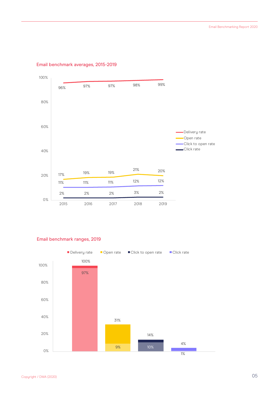

#### Email benchmark averages, 2015-2019

#### Email benchmark ranges, 2019

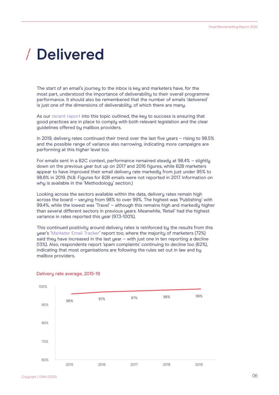### <span id="page-6-0"></span>**Delivered**

The start of an email's journey to the inbox is key and marketers have, for the most part, understood the importance of deliverability to their overall programme performance. It should also be remembered that the number of emails 'delivered' is just one of the dimensions of deliverability, of which there are many.

As our [recent report](https://dma.org.uk/research/email-deliverability-a-journey-into-the-inbox-2020) into this topic outlined, the key to success is ensuring that good practices are in place to comply with both relevant legislation and the clear guidelines offered by mailbox providers.

In 2019, delivery rates continued their trend over the last five years – rising to 98.5% and the possible range of variance also narrowing, indicating more campaigns are performing at this higher level too.

For emails sent in a B2C context, performance remained steady at 98.4% – slightly down on the previous year but up on 2017 and 2016 figures, while B2B marketers appear to have improved their email delivery rate markedly from just under 95% to 98.8% in 2019. (N.B. Figures for B2B emails were not reported in 2017. Information on why is available in the 'Methodology' section.)

Looking across the sectors available within the data, delivery rates remain high across the board – varying from 98% to over 99%. The highest was 'Publishing' with 99.4%, while the lowest was 'Travel' – although this remains high and markedly higher than several different sectors in previous years. Meanwhile, 'Retail' had the highest variance in rates reported this year (97.3-100%).

This continued positivity around delivery rates is reinforced by the results from this year's ['Marketer Email Tracker](https://dma.org.uk/research/marketer-email-tracker-2020)' report too, where the majority of marketers (72%) said they have increased in the last year – with just one in ten reporting a decline (13%). Also, respondents report 'spam complaints' continuing to decline too (62%), indicating that most organisations are following the rules set out in law and by mailbox providers.



#### Delivery rate average, 2015-19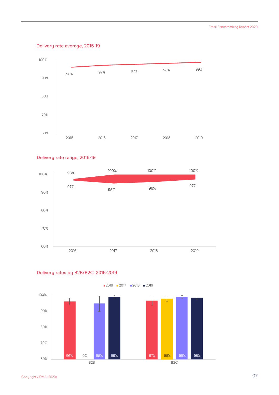#### Delivery rate average, 2015-19



#### Delivery rate range, 2016-19





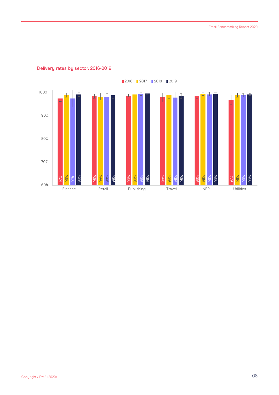

#### Delivery rates by sector, 2016-2019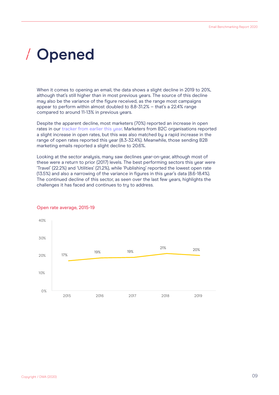### <span id="page-9-0"></span>**Opened**  $\sqrt{2}$

When it comes to opening an email, the data shows a slight decline in 2019 to 20%, although that's still higher than in most previous years. The source of this decline may also be the variance of the figure received, as the range most campaigns appear to perform within almost doubled to 8.8-31.2% – that's a 22.4% range compared to around 11-13% in previous years.

Despite the apparent decline, most marketers (70%) reported an increase in open rates in our [tracker from earlier this year](https://thedmaorguk-my.sharepoint.com/personal/tim_bond_dma_org_uk/Documents/Email%20research%20series/Email%20Benchmarking%20report/(70%25)). Marketers from B2C organisations reported a slight increase in open rates, but this was also matched by a rapid increase in the range of open rates reported this year (8.3-32.4%). Meanwhile, those sending B2B marketing emails reported a slight decline to 20.6%.

Looking at the sector analysis, many saw declines year-on-year, although most of these were a return to prior (2017) levels. The best performing sectors this year were 'Travel' (22.2%) and 'Utilities' (21.2%), while 'Publishing' reported the lowest open rate (13.5%) and also a narrowing of the variance in figures in this year's data (8.6-18.4%). The continued decline of this sector, as seen over the last few years, highlights the challenges it has faced and continues to try to address.



#### Open rate average, 2015-19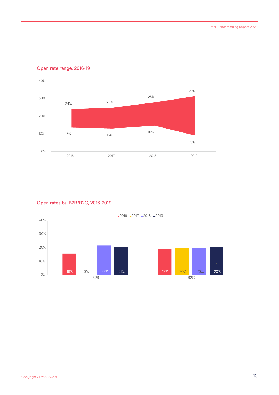

#### Open rate range, 2016-19

#### Open rates by B2B/B2C, 2016-2019

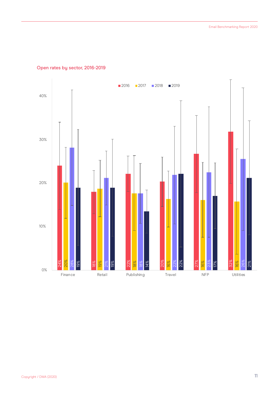

#### Open rates by sector, 2016-2019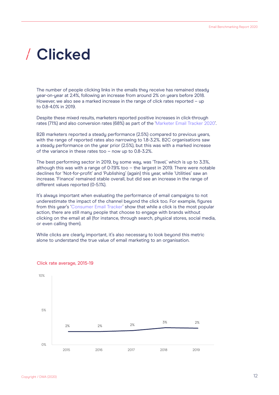### <span id="page-12-0"></span>**Clicked**

The number of people clicking links in the emails they receive has remained steady year-on-year at 2.4%, following an increase from around 2% on years before 2018. However, we also see a marked increase in the range of click rates reported – up to 0.8-4.0% in 2019.

Despite these mixed results, marketers reported positive increases in click-through rates (71%) and also conversion rates (68%) as part of the ['Marketer Email Tracker 2020'](https://dma.org.uk/research/marketer-email-tracker-2020).

B2B marketers reported a steady performance (2.5%) compared to previous years, with the range of reported rates also narrowing to 1.8-3.2%. B2C organisations saw a steady performance on the year prior (2.5%), but this was with a marked increase of the variance in these rates too – now up to 0.8-3.2%.

The best performing sector in 2019, bu some way, was 'Travel,' which is up to 3.3%. although this was with a range of 0-7.9% too – the largest in 2019. There were notable declines for 'Not-for-profit' and 'Publishing' (again) this year, while 'Utilities' saw an increase. 'Finance' remained stable overall, but did see an increase in the range of different values reported (0-5.1%).

It's always important when evaluating the performance of email campaigns to not underestimate the impact of the channel beyond the click too. For example, figures from this year's ['Consumer Email Tracker'](https://dma.org.uk/research/consumer-email-tracker-2020) show that while a click is the most popular action, there are still many people that choose to engage with brands without clicking on the email at all (for instance, through search, physical stores, social media, or even calling them).

While clicks are clearly important, it's also necessary to look beyond this metric alone to understand the true value of email marketing to an organisation.



#### Click rate average, 2015-19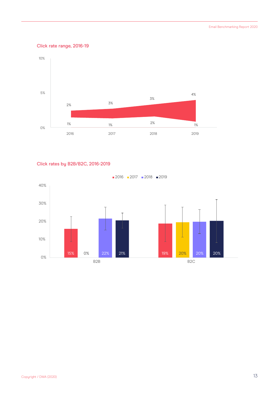#### Click rate range, 2016-19



#### Click rates by B2B/B2C, 2016-2019

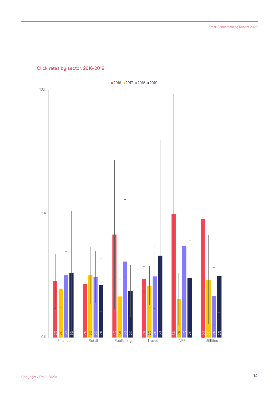#### Click rates by sector, 2016-2019

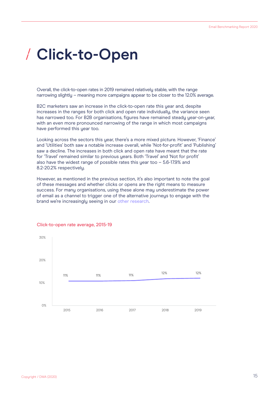### <span id="page-15-0"></span>**Click-to-Open**

Overall, the click-to-open rates in 2019 remained relatively stable, with the range narrowing slightly – meaning more campaigns appear to be closer to the 12.0% average.

B2C marketers saw an increase in the click-to-open rate this year and, despite increases in the ranges for both click and open rate individually, the variance seen has narrowed too. For B2B organisations, figures have remained steady year-on-year, with an even more pronounced narrowing of the range in which most campaigns have performed this year too.

Looking across the sectors this year, there's a more mixed picture. However, 'Finance' and 'Utilities' both saw a notable increase overall, while 'Not-for-profit' and 'Publishing' saw a decline. The increases in both click and open rate have meant that the rate for 'Travel' remained similar to previous years. Both 'Travel' and 'Not for profit' also have the widest range of possible rates this year too – 5.6-17.9% and 8.2-20.2% respectively.

However, as mentioned in the previous section, it's also important to note the goal of these messages and whether clicks or opens are the right means to measure success. For many organisations, using these alone may underestimate the power of email as a channel to trigger one of the alternative journeys to engage with the brand we're increasingly seeing in our [other research](https://dma.org.uk/research/consumer-email-tracker-2020).



#### Click-to-open rate average, 2015-19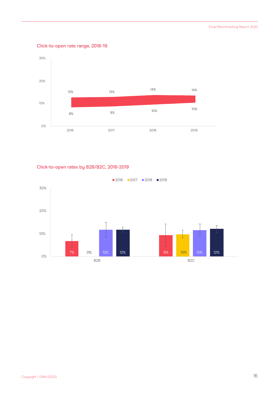#### Click-to-open rate range, 2016-19



#### Click-to-open rates by B2B/B2C, 2016-2019

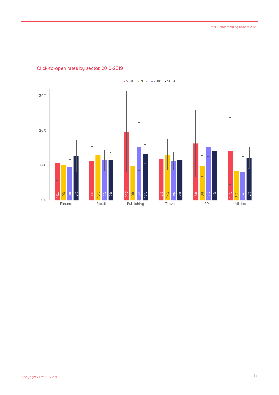

#### Click-to-open rates by sector, 2016-2019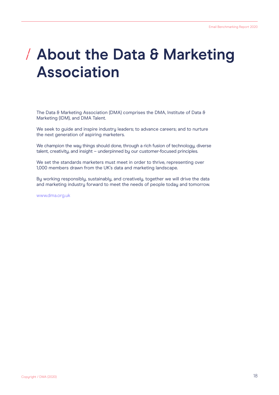### <span id="page-18-0"></span>**About the Data & Marketing Association**

The Data & Marketing Association (DMA) comprises the DMA, Institute of Data & Marketing (IDM), and DMA Talent.

We seek to guide and inspire industry leaders; to advance careers; and to nurture the next generation of aspiring marketers.

We champion the way things should done, through a rich fusion of technology, diverse talent, creativity, and insight – underpinned by our customer-focused principles.

We set the standards marketers must meet in order to thrive, representing over 1,000 members drawn from the UK's data and marketing landscape.

By working responsibly, sustainably, and creatively, together we will drive the data and marketing industry forward to meet the needs of people today and tomorrow.

[www.dma.org.uk](http://www.dma.org.uk)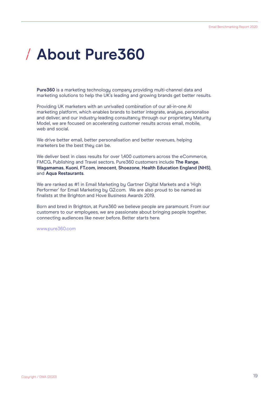## <span id="page-19-0"></span>**About Pure360**

Pure360 is a marketing technology company providing multi-channel data and marketing solutions to help the UK's leading and growing brands get better results.

Providing UK marketers with an unrivalled combination of our all-in-one AI marketing platform, which enables brands to better integrate, analyse, personalise and deliver, and our industry-leading consultancy through our proprietary Maturity Model, we are focused on accelerating customer results across email, mobile, web and social.

We drive better email, better personalisation and better revenues, helping marketers be the best they can be.

We deliver best in class results for over 1,400 customers across the eCommerce, FMCG, Publishing and Travel sectors. Pure360 customers include **The Range**, **Wagamamas**, **Kuoni**, **FT.com**, **innocent**, **Shoezone**, **Health Education England (NHS)**, and **Aqua Restaurants**.

We are ranked as #1 in Email Marketing by Gartner Digital Markets and a 'High Performer' for Email Marketing by G2.com. We are also proud to be named as finalists at the Brighton and Hove Business Awards 2019.

Born and bred in Brighton, at Pure360 we believe people are paramount. From our customers to our employees, we are passionate about bringing people together, connecting audiences like never before. Better starts here.

[www.pure360.com](https://www.pure360.com/)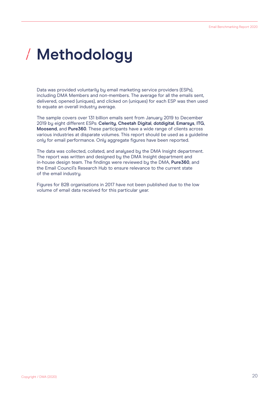## <span id="page-20-0"></span>**Methodology**

Data was provided voluntarily by email marketing service providers (ESPs), including DMA Members and non-members. The average for all the emails sent, delivered, opened (uniques), and clicked on (uniques) for each ESP was then used to equate an overall industry average.

The sample covers over 131 billion emails sent from January 2019 to December 2019 by eight different ESPs: **Celerity**, **Cheetah Digital**, **dotdigital**, **Emarsys**, **ITG**, **Moosend**, and **Pure360**. These participants have a wide range of clients across various industries at disparate volumes. This report should be used as a guideline only for email performance. Only aggregate figures have been reported.

The data was collected, collated, and analysed by the DMA Insight department. The report was written and designed by the DMA Insight department and in-house design team. The findings were reviewed by the DMA, **Pure360**, and the Email Council's Research Hub to ensure relevance to the current state of the email industry.

Figures for B2B organisations in 2017 have not been published due to the low volume of email data received for this particular year.